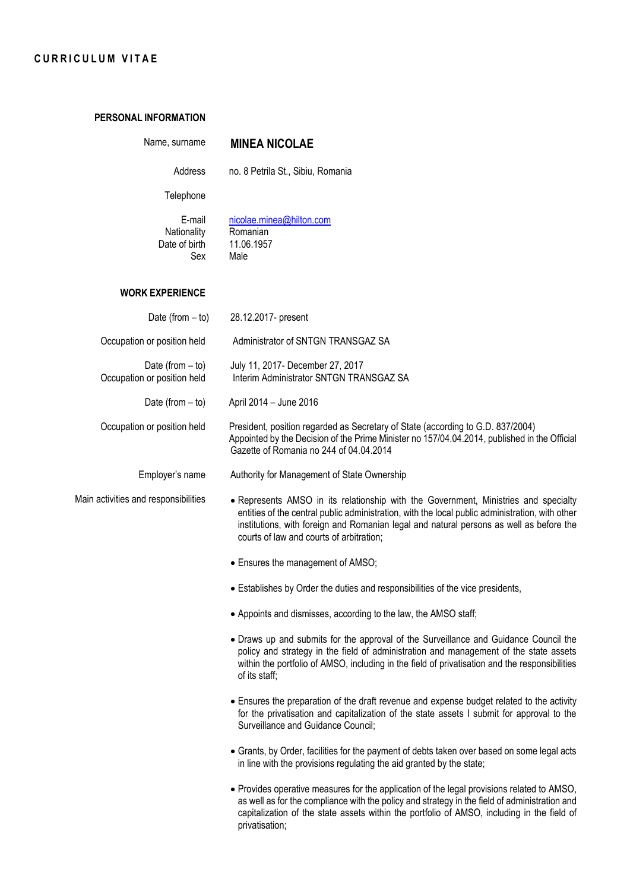## **CURRICULUM VITAE**

## **PERSONAL INFORMATION**

| Name, surname                                     | <b>MINEA NICOLAE</b>                                                                                                                                                                                                                                                                                                          |
|---------------------------------------------------|-------------------------------------------------------------------------------------------------------------------------------------------------------------------------------------------------------------------------------------------------------------------------------------------------------------------------------|
| Address                                           | no. 8 Petrila St., Sibiu, Romania                                                                                                                                                                                                                                                                                             |
| Telephone                                         |                                                                                                                                                                                                                                                                                                                               |
| E-mail<br>Nationality<br>Date of birth<br>Sex     | nicolae.minea@hilton.com<br>Romanian<br>11.06.1957<br>Male                                                                                                                                                                                                                                                                    |
| <b>WORK EXPERIENCE</b>                            |                                                                                                                                                                                                                                                                                                                               |
| Date (from $-$ to)                                | 28.12.2017- present                                                                                                                                                                                                                                                                                                           |
| Occupation or position held                       | Administrator of SNTGN TRANSGAZ SA                                                                                                                                                                                                                                                                                            |
| Date (from $-$ to)<br>Occupation or position held | July 11, 2017- December 27, 2017<br>Interim Administrator SNTGN TRANSGAZ SA                                                                                                                                                                                                                                                   |
| Date (from $-$ to)                                | April 2014 - June 2016                                                                                                                                                                                                                                                                                                        |
| Occupation or position held                       | President, position regarded as Secretary of State (according to G.D. 837/2004)<br>Appointed by the Decision of the Prime Minister no 157/04.04.2014, published in the Official<br>Gazette of Romania no 244 of 04.04.2014                                                                                                    |
| Employer's name                                   | Authority for Management of State Ownership                                                                                                                                                                                                                                                                                   |
| Main activities and responsibilities              | • Represents AMSO in its relationship with the Government, Ministries and specialty<br>entities of the central public administration, with the local public administration, with other<br>institutions, with foreign and Romanian legal and natural persons as well as before the<br>courts of law and courts of arbitration; |
|                                                   | • Ensures the management of AMSO;                                                                                                                                                                                                                                                                                             |
|                                                   | • Establishes by Order the duties and responsibilities of the vice presidents,                                                                                                                                                                                                                                                |
|                                                   | • Appoints and dismisses, according to the law, the AMSO staff;                                                                                                                                                                                                                                                               |
|                                                   | • Draws up and submits for the approval of the Surveillance and Guidance Council the<br>policy and strategy in the field of administration and management of the state assets<br>within the portfolio of AMSO, including in the field of privatisation and the responsibilities<br>of its staff;                              |
|                                                   | • Ensures the preparation of the draft revenue and expense budget related to the activity<br>for the privatisation and capitalization of the state assets I submit for approval to the<br>Surveillance and Guidance Council;                                                                                                  |
|                                                   | • Grants, by Order, facilities for the payment of debts taken over based on some legal acts<br>in line with the provisions regulating the aid granted by the state;                                                                                                                                                           |
|                                                   | . Provides operative measures for the application of the legal provisions related to AMSO,<br>as well as for the compliance with the policy and strategy in the field of administration and<br>capitalization of the state assets within the portfolio of AMSO, including in the field of                                     |

privatisation;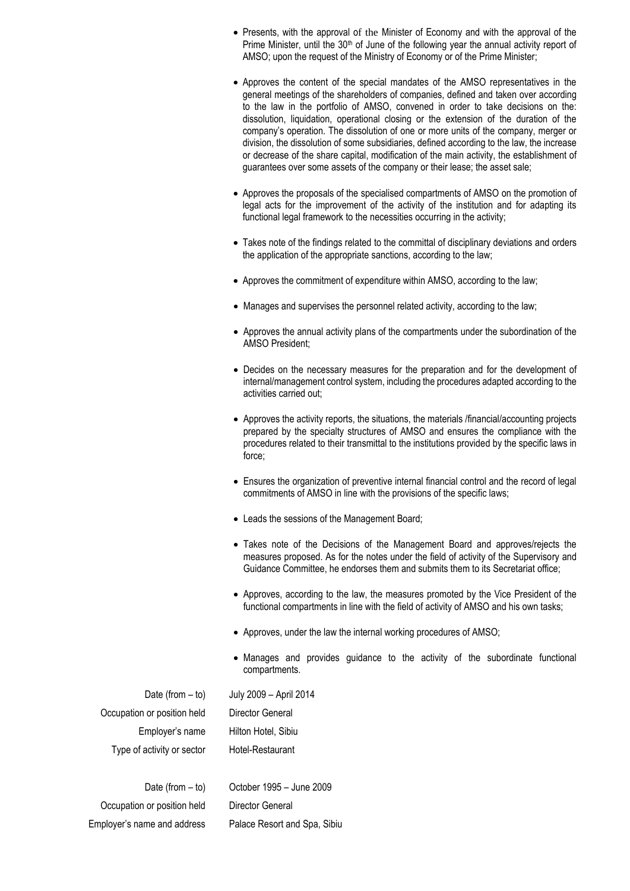- Presents, with the approval of the Minister of Economy and with the approval of the Prime Minister, until the 30<sup>th</sup> of June of the following year the annual activity report of AMSO; upon the request of the Ministry of Economy or of the Prime Minister;
- Approves the content of the special mandates of the AMSO representatives in the general meetings of the shareholders of companies, defined and taken over according to the law in the portfolio of AMSO, convened in order to take decisions on the: dissolution, liquidation, operational closing or the extension of the duration of the company's operation. The dissolution of one or more units of the company, merger or division, the dissolution of some subsidiaries, defined according to the law, the increase or decrease of the share capital, modification of the main activity, the establishment of guarantees over some assets of the company or their lease; the asset sale;
- Approves the proposals of the specialised compartments of AMSO on the promotion of legal acts for the improvement of the activity of the institution and for adapting its functional legal framework to the necessities occurring in the activity;
- Takes note of the findings related to the committal of disciplinary deviations and orders the application of the appropriate sanctions, according to the law;
- Approves the commitment of expenditure within AMSO, according to the law;
- Manages and supervises the personnel related activity, according to the law;
- Approves the annual activity plans of the compartments under the subordination of the AMSO President;
- Decides on the necessary measures for the preparation and for the development of internal/management control system, including the procedures adapted according to the activities carried out;
- Approves the activity reports, the situations, the materials /financial/accounting projects prepared by the specialty structures of AMSO and ensures the compliance with the procedures related to their transmittal to the institutions provided by the specific laws in force;
- Ensures the organization of preventive internal financial control and the record of legal commitments of AMSO in line with the provisions of the specific laws;
- Leads the sessions of the Management Board;
- Takes note of the Decisions of the Management Board and approves/rejects the measures proposed. As for the notes under the field of activity of the Supervisory and Guidance Committee, he endorses them and submits them to its Secretariat office;
- Approves, according to the law, the measures promoted by the Vice President of the functional compartments in line with the field of activity of AMSO and his own tasks;
- Approves, under the law the internal working procedures of AMSO;
- Manages and provides guidance to the activity of the subordinate functional compartments.

| Date (from $-$ to)          |
|-----------------------------|
| Occupation or position held |
| Employer's name             |
| Type of activity or sector  |

July 2009 – April 2014 Director General Hilton Hotel, Sibiu Hotel-Restaurant

Date (from – to) Occupation or position held Employer's name and address October 1995 – June 2009 Director General Palace Resort and Spa, Sibiu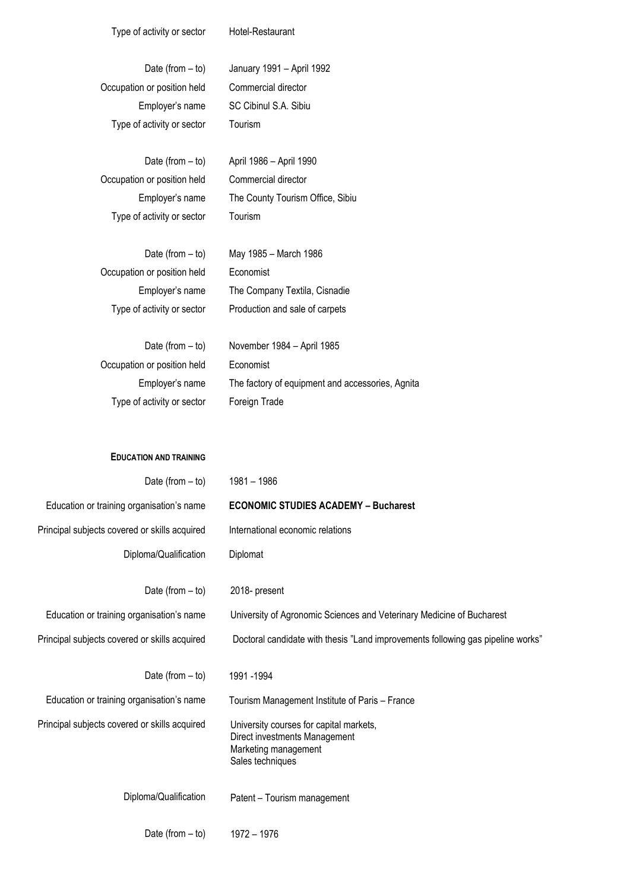| Type of activity or sector | Hotel-Restaurant |
|----------------------------|------------------|
|----------------------------|------------------|

| Date (from $-$ to)          | January 1991 - April 1992 |
|-----------------------------|---------------------------|
| Occupation or position held | Commercial director       |
| Employer's name             | SC Cibinul S.A. Sibiu     |
| Type of activity or sector  | Tourism                   |

Date (from – to) Occupation or position held Employer's name Type of activity or sector April 1986 – April 1990 Commercial director The County Tourism Office, Sibiu Tourism

| Date (from $-$ to)          | May 1985 – March 1986          |
|-----------------------------|--------------------------------|
| Occupation or position held | Economist                      |
| Employer's name             | The Company Textila, Cisnadie  |
| Type of activity or sector  | Production and sale of carpets |

| Date (from $-$ to)          | November 1984 – April 1985                       |
|-----------------------------|--------------------------------------------------|
| Occupation or position held | Economist                                        |
| Employer's name             | The factory of equipment and accessories, Agnita |
| Type of activity or sector  | Foreign Trade                                    |

| Date (from $-$ to)                                              | 1981 - 1986                                                                                                          |
|-----------------------------------------------------------------|----------------------------------------------------------------------------------------------------------------------|
| Education or training organisation's name                       | <b>ECONOMIC STUDIES ACADEMY - Bucharest</b>                                                                          |
| Principal subjects covered or skills acquired                   | International economic relations                                                                                     |
| Diploma/Qualification                                           | Diplomat                                                                                                             |
| Date (from $-$ to)<br>Education or training organisation's name | 2018- present<br>University of Agronomic Sciences and Veterinary Medicine of Bucharest                               |
| Principal subjects covered or skills acquired                   | Doctoral candidate with thesis "Land improvements following gas pipeline works"                                      |
| Date (from $-$ to)                                              | 1991 - 1994                                                                                                          |
| Education or training organisation's name                       | Tourism Management Institute of Paris - France                                                                       |
| Principal subjects covered or skills acquired                   | University courses for capital markets,<br>Direct investments Management<br>Marketing management<br>Sales techniques |
| Diploma/Qualification                                           | Patent - Tourism management                                                                                          |
| Date (from $-$ to)                                              | 1972 - 1976                                                                                                          |